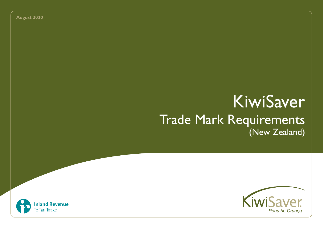**August 2020**

# KiwiSaver Trade Mark Requirements (New Zealand)



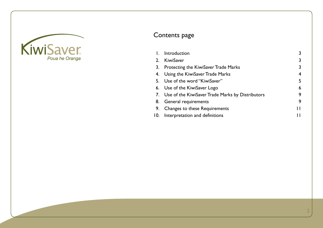

# Contents page

|     | Introduction                                        | 3 |
|-----|-----------------------------------------------------|---|
| 2.  | KiwiSaver                                           | 3 |
|     | 3. Protecting the KiwiSaver Trade Marks             | 3 |
|     | 4. Using the KiwiSaver Trade Marks                  | 4 |
|     | 5. Use of the word "KiwiSaver"                      | 5 |
|     | 6. Use of the KiwiSaver Logo                        | 6 |
|     | 7. Use of the KiwiSaver Trade Marks by Distributors | 9 |
|     | 8. General requirements                             | 9 |
| 9.  | Changes to these Requirements                       | п |
| 10. | Interpretation and definitions                      |   |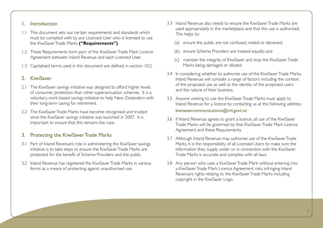#### 1. Introduction

- 1.1 This document sets out certain requirements and standards which must be complied with by any Licensed User who is licensed to use the KiwiSaver Trade Marks **("Requirements")**.
- 1.2 These Requirements form part of the KiwiSaver Trade Mark Licence Agreement between Inland Revenue and each Licensed User.
- 1.3 Capitalised terms used in this document are defined in section 10.2.

# 2. KiwiSaver

- 2.1 The KiwiSaver savings initiative was designed to afford higher levels of consumer protection than other superannuation schemes. It is a voluntary, work-based savings initiative to help New Zealanders with their long-term saving for retirement.
- 2.2 The KiwiSaver Trade Marks have become recognised and trusted since the KiwiSaver savings initiative was launched in 2007. It is important to ensure that this remains the case.

# 3. Protecting the KiwiSaver Trade Marks

- 3.1 Part of Inland Revenue's role in administering the KiwiSaver savings initiative is to take steps to ensure the KiwiSaver Trade Marks are protected for the benefit of Scheme Providers and the public.
- 3.2 Inland Revenue has registered the KiwiSaver Trade Marks in various forms as a means of protecting against unauthorised use.
- 3.3 Inland Revenue also needs to ensure the KiwiSaver Trade Marks are used appropriately in the marketplace and that this use is authorised. This helps to:
	- (a) ensure the public are not confused, misled or deceived;
	- (b) ensure Scheme Providers are treated equally; and
	- (c) maintain the integrity of KiwiSaver and stop the KiwiSaver Trade Marks being damaged or diluted.
- 3.4 In considering whether to authorise use of the KiwiSaver Trade Marks, Inland Revenue will consider a range of factors including the context of the proposed use as well as the identity of the proposed users and the nature of their business.
- 3.5 Anyone wishing to use the KiwiSaver Trade Marks must apply to Inland Revenue for a licence by contacting us at the following address: kiwisavercommunications@ird.govt.nz
- 3.6 If Inland Revenue agrees to grant a licence, all use of the KiwiSaver Trade Marks will be governed by that KiwiSaver Trade Mark Licence Agreement and these Requirements.
- 3.7 Although Inland Revenue may authorise use of the KiwiSaver Trade Marks, it is the responsibility of all Licensed Users to make sure the information they supply under or in connection with the KiwiSaver Trade Marks is accurate and complies with all laws.
- 3.8 Any person who uses a KiwiSaver Trade Mark without entering into a KiwiSaver Trade Mark Licence Agreement risks infringing Inland Revenue's rights relating to the KiwiSaver Trade Marks including copyright in the KiwiSaver Logo.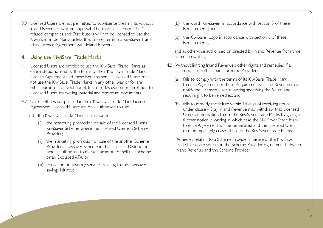3.9 Licensed Users are not permitted to sub-license their rights without Inland Revenue's written approval. Therefore, a Licensed User's related companies and Distributors will not be licensed to use the KiwiSaver Trade Marks unless they also enter into a KiwiSaver Trade Mark Licence Agreement with Inland Revenue.

# 4. Using the KiwiSaver Trade Marks

- 4.1 Licensed Users are entitled to use the KiwiSaver Trade Marks as expressly authorised by the terms of their KiwiSaver Trade Mark Licence Agreement and these Requirements. Licensed Users must not use the KiwiSaver Trade Marks in any other way or for any other purpose. To avoid doubt, this includes use on or in relation to Licensed Users' marketing material and disclosure documents.
- 4.2 Unless otherwise specified in their KiwiSaver Trade Mark Licence Agreement, Licensed Users are only authorised to use:
	- (a) the KiwiSaver Trade Marks in relation to:
		- the marketing, promotion or sale of the Licensed User's KiwiSaver Scheme where the Licensed User is a Scheme Provider;
		- (ii) the marketing, promotion or sale of the another Scheme Provider's KiwiSaver Scheme in the case of a Distributor who is authorised to market, promote or sell that scheme or an Excluded AFA; or
		- (iii) education or advisory services relating to the KiwiSaver savings initiative;
- (b) the word "KiwiSaver" in accordance with section 5 of these Requirements; and
- (c) the KiwiSaver Logo in accordance with section 6 of these Requirements,

and as otherwise authorised or directed by Inland Revenue from time to time in writing.

- 4.3 Without limiting Inland Revenue's other rights and remedies, if a Licensed User other than a Scheme Provider:
	- (a) fails to comply with the terms of its KiwiSaver Trade Mark Licence Agreement or these Requirements, Inland Revenue may notify the Licensed User in writing specifying the failure and requiring it to be remedied; and
	- (b) fails to remedy the failure within 14 days of receiving notice under clause 4.3(a), Inland Revenue may withdraw that Licensed User's authorisation to use the KiwiSaver Trade Marks by giving a further notice in writing in which case the KiwiSaver Trade Mark Licence Agreement will be terminated and the Licensed User must immediately cease all use of the KiwiSaver Trade Marks.

Remedies relating to a Scheme Provider's misuse of the KiwiSaver Trade Marks are set out in the Scheme Provider Agreement between Inland Revenue and the Scheme Provider.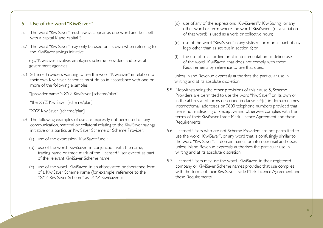## 5. Use of the word "KiwiSaver"

- 5.1 The word "KiwiSaver" must always appear as one word and be spelt with a capital K and capital S.
- 5.2 The word "KiwiSaver" may only be used on its own when referring to the KiwiSaver savings initiative.

e.g., "KiwiSaver involves employers, scheme providers and several government agencies."

5.3 Scheme Providers wanting to use the word "KiwiSaver" in relation to their own KiwiSaver Schemes must do so in accordance with one or more of the following examples:

"[provider name]'s XYZ KiwiSaver [scheme/plan]"

"the XYZ KiwiSaver [scheme/plan]"

"XYZ KiwiSaver [scheme/plan]"

- 5.4 The following examples of use are expressly not permitted on any communication, material or collateral relating to the KiwiSaver savings initiative or a particular KiwiSaver Scheme or Scheme Provider:
	- (a) use of the expression "KiwiSaver fund";
	- (b) use of the word "KiwiSaver" in conjunction with the name, trading name or trade mark of the Licensed User, except as part of the relevant KiwiSaver Scheme name;
	- (c) use of the word "KiwiSaver" in an abbreviated or shortened form of a KiwiSaver Scheme name (for example, reference to the "XYZ KiwiSaver Scheme" as "XYZ KiwiSaver");
- (d) use of any of the expressions "KiwiSavers", "KiwiSaving" or any other word or term where the word "KiwiSaver" (or a variation of that word) is used as a verb or collective noun;
- (e) use of the word "KiwiSaver" in any stylised form or as part of any logo other than as set out in section 6; or
- (f) the use of small or fine print in documentation to define use of the word "KiwiSaver" that does not comply with these Requirements by reference to use that does,

unless Inland Revenue expressly authorises the particular use in writing and at its absolute discretion.

- 5.5 Notwithstanding the other provisions of this clause 5, Scheme Providers are permitted to use the word "KiwiSaver" on its own or in the abbreviated forms described in clause 5.4(c) in domain names, internet/email addresses or 0800 telephone numbers provided that use is not misleading or deceptive and otherwise complies with the terms of their KiwiSaver Trade Mark Licence Agreement and these Requirements.
- 5.6 Licensed Users who are not Scheme Providers are not permitted to use the word "KiwiSaver", or any word that is confusingly similar to the word "KiwiSaver", in domain names or internet/email addresses unless Inland Revenue expressly authorises the particular use in writing and at its absolute discretion.
- 5.7 Licensed Users may use the word "KiwiSaver" in their registered company or KiwiSaver Scheme names provided that use complies with the terms of their KiwiSaver Trade Mark Licence Agreement and these Requirements.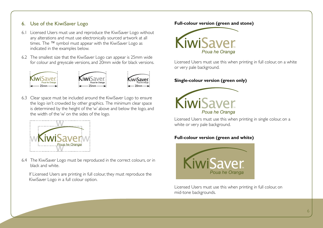# 6. Use of the KiwiSaver Logo

- 6.1 Licensed Users must use and reproduce the KiwiSaver Logo without any alterations and must use electronically sourced artwork at all times. The ™ symbol must appear with the KiwiSaver Logo as indicated in the examples below.
- 6.2 The smallest size that the KiwiSaver Logo can appear is 25mm wide for colour and greyscale versions, and 20mm wide for black versions.



6.3 Clear space must be included around the KiwiSaver Logo to ensure the logo isn't crowded by other graphics. The minimum clear space is determined by the height of the 'w' above and below the logo, and the width of the 'w' on the sides of the logo.



6.4 The KiwiSaver Logo must be reproduced in the correct colours, or in black and white.

If Licensed Users are printing in full colour, they must reproduce the KiwiSaver Logo in a full colour option.

**Full-colour version (green and stone)**



Licensed Users must use this when printing in full colour, on a white or very pale background.

#### **Single-colour version (green only)**



Licensed Users must use this when printing in single colour, on a white or very pale background.

#### **Full-colour version (green and white)**



Licensed Users must use this when printing in full colour, on mid-tone backgrounds.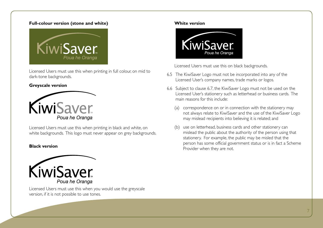#### **Full-colour version (stone and white)**



Licensed Users must use this when printing in full colour, on mid to dark-tone backgrounds.

#### **Greyscale version**



Licensed Users must use this when printing in black and white, on white backgrounds. This logo must never appear on grey backgrounds.

#### **Black version**



Licensed Users must use this when you would use the greyscale version, if it is not possible to use tones.

#### **White version**



Licensed Users must use this on black backgrounds.

- 6.5 The KiwiSaver Logo must not be incorporated into any of the Licensed User's company names, trade marks or logos.
- 6.6 Subject to clause 6.7, the KiwiSaver Logo must not be used on the Licensed User's stationery such as letterhead or business cards. The main reasons for this include:
	- (a) correspondence on or in connection with the stationery may not always relate to KiwiSaver and the use of the KiwiSaver Logo may mislead recipients into believing it is related; and
	- (b) use on letterhead, business cards and other stationery can mislead the public about the authority of the person using that stationery. For example, the public may be misled that the person has some official government status or is in fact a Scheme Provider when they are not.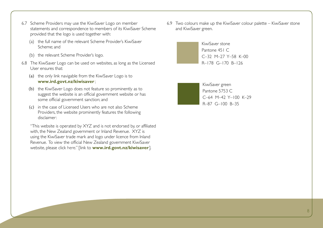- 6.7 Scheme Providers may use the KiwiSaver Logo on member statements and correspondence to members of its KiwiSaver Scheme provided that the logo is used together with:
	- (a) the full name of the relevant Scheme Provider's KiwiSaver Scheme; and
	- (b) the relevant Scheme Provider's logo.
- 6.8 The KiwiSaver Logo can be used on websites, as long as the Licensed User ensures that:
	- (a) the only link navigable from the KiwiSaver Logo is to **www.ird.govt.nz/kiwisaver** ;
	- (b) the KiwiSaver Logo does not feature so prominently as to suggest the website is an official government website or has some official government sanction; and
	- (c) in the case of Licensed Users who are not also Scheme Providers, the website prominently features the following disclaimer:

"This website is operated by XYZ and is not endorsed by, or affiliated with, the New Zealand government or Inland Revenue. XYZ is using the KiwiSaver trade mark and logo under licence from Inland Revenue. To view the official New Zealand government KiwiSaver website, please click here." [link to **www.ird.govt.nz/kiwisaver**].

6.9 Two colours make up the KiwiSaver colour palette – KiwiSaver stone and KiwiSaver green.



KiwiSaver green Pantone 5753 C C–64 M–42 Y–100 K–29 R–87 G–100 B–35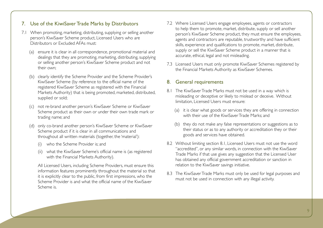### 7. Use of the KiwiSaver Trade Marks by Distributors

- 7.1 When promoting, marketing, distributing, supplying or selling another person's KiwiSaver Scheme product, Licensed Users who are Distributors or Excluded AFAs must:
	- (a) ensure it is clear in all correspondence, promotional material and dealings that they are promoting, marketing, distributing, supplying or selling another person's KiwiSaver Scheme product and not their own;
	- (b) clearly identify the Scheme Provider and the Scheme Provider's KiwiSaver Scheme (by reference to the official name of the registered KiwiSaver Scheme as registered with the Financial Markets Authority) that is being promoted, marketed, distributed, supplied or sold;
	- (c) not re-brand another person's KiwiSaver Scheme or KiwiSaver Scheme product as their own or under their own trade mark or trading name; and
	- (d) only co-brand another person's KiwiSaver Scheme or KiwiSaver Scheme product if it is clear in all communications and throughout all written materials (together, the 'material'):
		- (i) who the Scheme Provider is; and
		- (ii) what the KiwiSaver Scheme's official name is (as registered with the Financial Markets Authority).

All Licensed Users, including Scheme Providers, must ensure this information features prominently throughout the material so that it is explicitly clear to the public, from first impressions, who the Scheme Provider is and what the official name of the KiwiSaver Scheme is.

- 7.2 Where Licensed Users engage employees, agents or contractors to help them to promote, market, distribute, supply or sell another person's KiwiSaver Scheme product, they must ensure the employees, agents and contractors are reputable, trustworthy and have sufficient skills, experience and qualifications to promote, market, distribute, supply or sell the KiwiSaver Scheme product in a manner that is accurate, ethical, legal and not misleading.
- 7.3 Licensed Users must only promote KiwiSaver Schemes registered by the Financial Markets Authority as KiwiSaver Schemes.

#### 8. General requirements

- 8.1 The KiwiSaver Trade Marks must not be used in a way which is misleading or deceptive or likely to mislead or deceive. Without limitation, Licensed Users must ensure:
	- (a) it is clear what goods or services they are offering in connection with their use of the KiwiSaver Trade Marks; and
	- (b) they do not make any false representations or suggestions as to their status or as to any authority or accreditation they or their goods and services have obtained.
- 8.2 Without limiting section 8.1, Licensed Users must not use the word "accredited", or any similar words, in connection with the KiwiSaver Trade Marks if that use gives any suggestion that the Licensed User has obtained any official government accreditation or sanction in relation to the KiwiSaver savings initiative.
- 8.3 The KiwiSaver Trade Marks must only be used for legal purposes and must not be used in connection with any illegal activity.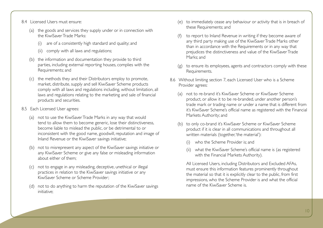- 8.4 Licensed Users must ensure:
	- (a) the goods and services they supply under or in connection with the KiwiSaver Trade Marks:
		- are of a consistently high standard and quality; and
		- (ii) comply with all laws and regulations;
	- (b) the information and documentation they provide to third parties, including external reporting houses, complies with the Requirements; and
	- (c) the methods they and their Distributors employ to promote, market, distribute, supply and sell KiwiSaver Scheme products comply with all laws and regulations including, without limitation, all laws and regulations relating to the marketing and sale of financial products and securities.
- 8.5 Each Licensed User agrees:
	- (a) not to use the KiwiSaver Trade Marks in any way that would tend to allow them to become generic, lose their distinctiveness, become liable to mislead the public, or be detrimental to or inconsistent with the good name, goodwill, reputation and image of Inland Revenue or the KiwiSaver savings initiative;
	- (b) not to misrepresent any aspect of the KiwiSaver savings initiative or any KiwiSaver Scheme or give any false or misleading information about either of them;
	- (c) not to engage in any misleading, deceptive, unethical or illegal practices in relation to the KiwiSaver savings initiative or any KiwiSaver Scheme or Scheme Provider;
	- (d) not to do anything to harm the reputation of the KiwiSaver savings initiative;
- (e) to immediately cease any behaviour or activity that is in breach of these Requirements; and
- (f) to report to Inland Revenue in writing if they become aware of any third party making use of the KiwiSaver Trade Marks other than in accordance with the Requirements or in any way that prejudices the distinctiveness and value of the KiwiSaver Trade Marks; and
- (g) to ensure its employees, agents and contractors comply with these Requirements.
- 8.6 Without limiting section 7, each Licensed User who is a Scheme Provider agrees:
	- (a) not to re-brand it's KiwiSaver Scheme or KiwiSaver Scheme product, or allow it to be re-branded, under another person's trade mark or trading name or under a name that is different from it's KiwiSaver Scheme's official name as registered with the Financial Markets Authority; and
	- (b) to only co-brand it's KiwiSaver Scheme or KiwiSaver Scheme product if it is clear in all communications and throughout all written materials (together, 'the material'):
		- (i) who the Scheme Provider is; and
		- what the KiwiSaver Scheme's official name is (as registered with the Financial Markets Authority).

All Licensed Users, including Distributors and Excluded AFAs, must ensure this information features prominently throughout the material so that it is explicitly clear to the public, from first impressions, who the Scheme Provider is and what the official name of the KiwiSaver Scheme is.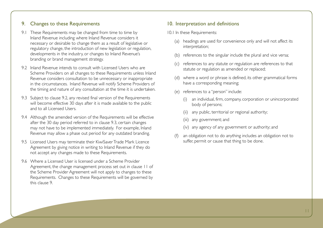#### 9. Changes to these Requirements

- 9.1 These Requirements may be changed from time to time by Inland Revenue including where Inland Revenue considers it necessary or desirable to change them as a result of legislative or regulatory change, the introduction of new legislation or regulation, developments in the industry, or changes to Inland Revenue's branding or brand management strategy.
- 9.2 Inland Revenue intends to consult with Licensed Users who are Scheme Providers on all changes to these Requirements unless Inland Revenue considers consultation to be unnecessary or inappropriate in the circumstances. Inland Revenue will notify Scheme Providers of the timing and nature of any consultation at the time it is undertaken.
- 9.3 Subject to clause 9.2, any revised final version of the Requirements will become effective 30 days after it is made available to the public and to all Licensed Users.
- 9.4 Although the amended version of the Requirements will be effective after the 30 day period referred to in clause 9.3, certain changes may not have to be implemented immediately. For example, Inland Revenue may allow a phase out period for any outdated branding.
- 9.5 Licensed Users may terminate their KiwiSaver Trade Mark Licence Agreement by giving notice in writing to Inland Revenue if they do not accept any changes made to these Requirements.
- 9.6 Where a Licensed User is licensed under a Scheme Provider Agreement, the change management process set out in clause 11 of the Scheme Provider Agreement will not apply to changes to these Requirements. Changes to these Requirements will be governed by this clause 9.

#### 10. Interpretation and definitions

- 10.1 In these Requirements:
	- (a) headings are used for convenience only and will not affect its interpretation;
	- (b) references to the singular include the plural and vice versa;
	- (c) references to any statute or regulation are references to that statute or regulation as amended or replaced;
	- (d) where a word or phrase is defined, its other grammatical forms have a corresponding meaning;
	- (e) references to a "person" include:
		- (i) an individual, firm, company, corporation or unincorporated body of persons;
		- (ii) any public, territorial or regional authority;
		- (iii) any government; and
		- (iv) any agency of any government or authority; and
	- (f) an obligation not to do anything includes an obligation not to suffer, permit or cause that thing to be done.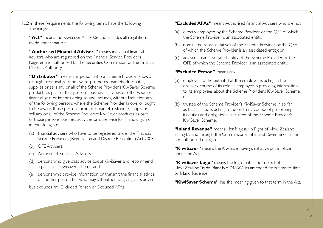10.2 In these Requirements the following terms have the following meanings:

**"Act"** means the KiwiSaver Act 2006 and includes all regulations made under that Act.

**"Authorised Financial Advisers"** means individual financial advisers who are registered on the Financial Service Providers Register and authorised by the Securities Commission or the Financial Markets Authority.

**"Distributor"** means any person who a Scheme Provider knows, or ought reasonably to be aware, promotes, markets, distributes, supplies or sells any or all of the Scheme Provider's KiwiSaver Scheme products as part of that person's business activities or otherwise for financial gain or intends doing so and includes, without limitation, any of the following persons where the Scheme Provider knows, or ought to be aware, those persons promote, market, distribute, supply or sell any or all of the Scheme Provider's KiwiSaver products as part of those persons' business activities or otherwise for financial gain or intend doing so:

- (a) financial advisers who have to be registered under the Financial Service Providers (Registration and Dispute Resolution) Act 2008;
- (b) QFE Advisers;
- (c) Authorised Financial Advisers;
- (d) persons who give class advice about KiwiSaver and recommend a particular KiwiSaver scheme; and
- (e) persons who provide information or transmit the financial advice of another person but who may fall outside of giving class advice,

but excludes any Excluded Person or Excluded AFAs.

#### **"Excluded AFAs"** means Authorised Financial Advisers who are not:

- (a) directly employed by the Scheme Provider or the QFE of which the Scheme Provider is an associated entity;
- (b) nominated representatives of the Scheme Provider or the QFE of which the Scheme Provider is an associated entity; or
- (c) advisers in an associated entity of the Scheme Provider or the QFE of which the Scheme Provider is an associated entity.

#### **"Excluded Person"** means any:

- (a) employer to the extent that the employer is acting in the ordinary course of its role as employer in providing information to its employees about the Scheme Provider's KiwiSaver Scheme; or
- (b) trustee of the Scheme Provider's KiwiSaver Scheme in so far as that trustee is acting in the ordinary course of performing its duties and obligations as trustee of the Scheme Provider's KiwiSaver Scheme.

**"Inland Revenue"** means Her Majesty in Right of New Zealand acting by and through the Commissioner of Inland Revenue or his or her authorised delegate.

**"KiwiSaver"** means the KiwiSaver savings initiative put in place under the Act.

- "KiwiSaver Logo" means the logo that is the subject of New Zealand Trade Mark No. 748366, as amended from time to time by Inland Revenue.
- **"KiwiSaver Scheme"** has the meaning given to that term in the Act.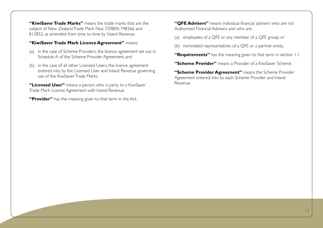**"KiwiSaver Trade Marks"** means the trade marks that are the subject of New Zealand Trade Mark Nos. 729804, 748366 and 812852, as amended from time to time by Inland Revenue.

#### **"KiwiSaver Trade Mark Licence Agreement"** means:

- (a) in the case of Scheme Providers, the licence agreement set out in Schedule A of the Scheme Provider Agreement; and
- (b) in the case of all other Licensed Users, the licence agreement entered into by the Licensed User and Inland Revenue governing use of the KiwiSaver Trade Marks.

**"Licensed User"** means a person who is party to a KiwiSaver Trade Mark Licence Agreement with Inland Revenue.

**"Provider"** has the meaning given to that term in the Act.

**"QFE Advisers"** means individual financial advisers who are not Authorised Financial Advisers and who are:

(a) employees of a QFE or any member of a QFE group; or

(b) nominated representatives of a QFE or a partner entity.

**"Requirements"** has the meaning given to that term in section 1.1.

**"Scheme Provider"** means a Provider of a KiwiSaver Scheme.

**"Scheme Provider Agreement"** means the Scheme Provider Agreement entered into by each Scheme Provider and Inland Revenue.